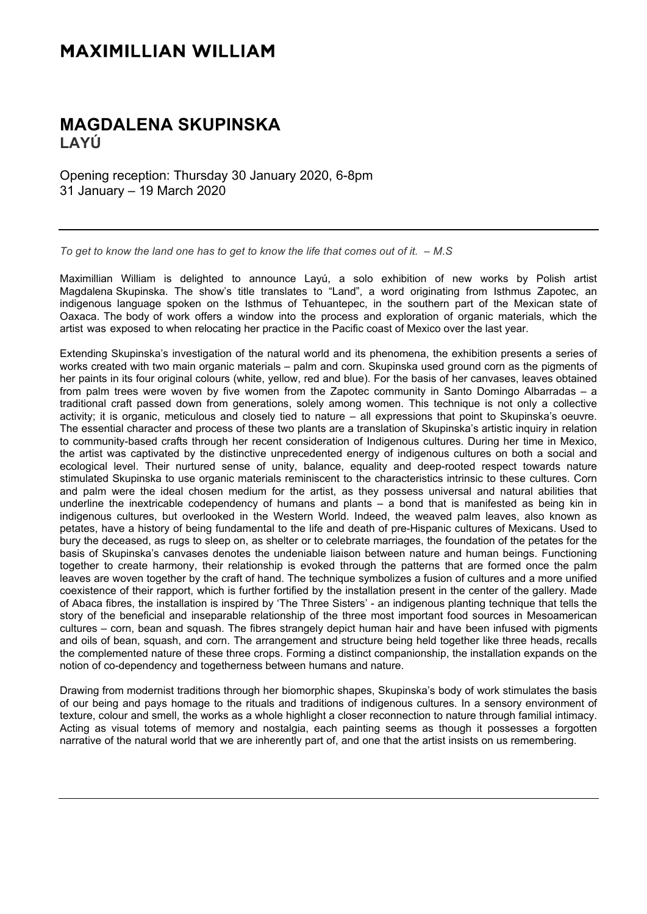## **MAXIMILLIAN WILLIAM**

## **MAGDALENA SKUPINSKA LAYÚ**

Opening reception: Thursday 30 January 2020, 6-8pm 31 January – 19 March 2020

*To get to know the land one has to get to know the life that comes out of it. – M.S*

Maximillian William is delighted to announce Layú, a solo exhibition of new works by Polish artist Magdalena Skupinska. The show's title translates to "Land", a word originating from Isthmus Zapotec, an indigenous language spoken on the Isthmus of Tehuantepec, in the southern part of the Mexican state of Oaxaca. The body of work offers a window into the process and exploration of organic materials, which the artist was exposed to when relocating her practice in the Pacific coast of Mexico over the last year.

Extending Skupinska's investigation of the natural world and its phenomena, the exhibition presents a series of works created with two main organic materials – palm and corn. Skupinska used ground corn as the pigments of her paints in its four original colours (white, yellow, red and blue). For the basis of her canvases, leaves obtained from palm trees were woven by five women from the Zapotec community in Santo Domingo Albarradas – a traditional craft passed down from generations, solely among women. This technique is not only a collective activity; it is organic, meticulous and closely tied to nature – all expressions that point to Skupinska's oeuvre. The essential character and process of these two plants are a translation of Skupinska's artistic inquiry in relation to community-based crafts through her recent consideration of Indigenous cultures. During her time in Mexico, the artist was captivated by the distinctive unprecedented energy of indigenous cultures on both a social and ecological level. Their nurtured sense of unity, balance, equality and deep-rooted respect towards nature stimulated Skupinska to use organic materials reminiscent to the characteristics intrinsic to these cultures. Corn and palm were the ideal chosen medium for the artist, as they possess universal and natural abilities that underline the inextricable codependency of humans and plants – a bond that is manifested as being kin in indigenous cultures, but overlooked in the Western World. Indeed, the weaved palm leaves, also known as petates, have a history of being fundamental to the life and death of pre-Hispanic cultures of Mexicans. Used to bury the deceased, as rugs to sleep on, as shelter or to celebrate marriages, the foundation of the petates for the basis of Skupinska's canvases denotes the undeniable liaison between nature and human beings. Functioning together to create harmony, their relationship is evoked through the patterns that are formed once the palm leaves are woven together by the craft of hand. The technique symbolizes a fusion of cultures and a more unified coexistence of their rapport, which is further fortified by the installation present in the center of the gallery. Made of Abaca fibres, the installation is inspired by 'The Three Sisters' - an indigenous planting technique that tells the story of the beneficial and inseparable relationship of the three most important food sources in Mesoamerican cultures – corn, bean and squash. The fibres strangely depict human hair and have been infused with pigments and oils of bean, squash, and corn. The arrangement and structure being held together like three heads, recalls the complemented nature of these three crops. Forming a distinct companionship, the installation expands on the notion of co-dependency and togetherness between humans and nature.

Drawing from modernist traditions through her biomorphic shapes, Skupinska's body of work stimulates the basis of our being and pays homage to the rituals and traditions of indigenous cultures. In a sensory environment of texture, colour and smell, the works as a whole highlight a closer reconnection to nature through familial intimacy. Acting as visual totems of memory and nostalgia, each painting seems as though it possesses a forgotten narrative of the natural world that we are inherently part of, and one that the artist insists on us remembering.